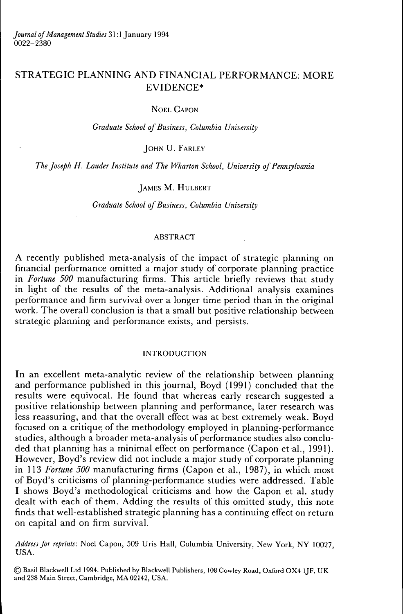# STRATEGIC PLANNING AND FINANCIAL PERFORMANCE: MORE EVIDENCE\*

# NOEL CAPON

*Graduate School of Business, Columbia University*

JOHN U. FARLEY

*The Joseph H. Lauder Institute and The Wharton School, University of Pennsylvania*

# JAMES M. HULBERT

*Graduate School of Business, Columbia University*

#### ABSTRACT

A recently published meta-analysis of the impact of strategic planning on financial performance omitted a major study of corporate planning practice in *Fortune 500* manufacturing firms. This article briefiy reviews that study in light of the results of the meta-analysis. Additional analysis examines performance and firm survival over a longer time period than in the original work. The overall conclusion is that a small but positive relationship between strategic planning and performance exists, and persists.

# INTRODUCTION

In an excellent meta-analytic review of the relationship between planning and performance published in this journal, Boyd (1991) concluded that the results were equivocal. He found that whereas early research suggested a positive relationship between planning and performance, later research was less reassuring, and that the overall effect was at best extremely weak. Boyd focused on a critique of the methodology employed in planning-performance studies, although a broader meta-analysis of performance studies also concluded that planning has a minimal effect on performance (Capon et al., 1991). However, Boyd's review did not include a major study of corporate planning in 113 *Fortune 500* manufacturing firms (Capon et al., 1987), in which most of Boyd's criticisms of planning-performance studies were addressed. Table I shows Boyd's methodological criticisms and how the Capon et al. study dealt with each of them. Adding the results of this omitted study, this note finds that well-established strategic planning has a continuing effect on return on capital and on firm survival.

Address for reprints: Noel Capon, 509 Uris Hall, Columbia University, New York, NY 10027, USA.

© Basil Blackwell Ltd 1994. Published by Blackwell Publishers, 108 Cowley Road, Oxford OX4 lJF, UK and 238 Main Street, Cambridge, MA 02142, USA.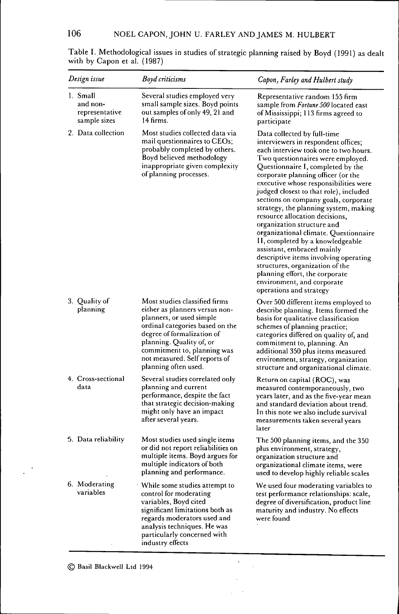| Design issue |                                                        | <b>Boyd</b> criticisms                                                                                                                                                                                                                                                           | Capon, Farley and Hulbert study                                                                                                                                                                                                                                                                                                                                                                                                                                                                                                                                                                                                                                                                                                                   |  |  |
|--------------|--------------------------------------------------------|----------------------------------------------------------------------------------------------------------------------------------------------------------------------------------------------------------------------------------------------------------------------------------|---------------------------------------------------------------------------------------------------------------------------------------------------------------------------------------------------------------------------------------------------------------------------------------------------------------------------------------------------------------------------------------------------------------------------------------------------------------------------------------------------------------------------------------------------------------------------------------------------------------------------------------------------------------------------------------------------------------------------------------------------|--|--|
|              | 1. Small<br>and non-<br>representative<br>sample sizes | Several studies employed very<br>small sample sizes. Boyd points<br>out samples of only 49, 21 and<br>14 firms.                                                                                                                                                                  | Representative random 155 firm<br>sample from Fortune 500 located east<br>of Mississippi; 113 firms agreed to<br>participate                                                                                                                                                                                                                                                                                                                                                                                                                                                                                                                                                                                                                      |  |  |
|              | 2. Data collection                                     | Most studies collected data via<br>mail questionnaires to CEOs;<br>probably completed by others.<br>Boyd believed methodology<br>inappropriate given complexity<br>of planning processes.                                                                                        | Data collected by full-time<br>interviewers in respondent offices;<br>each interview took one to two hours.<br>Two questionnaires were employed.<br>Questionnaire I, completed by the<br>corporate planning officer (or the<br>executive whose responsibilities were<br>judged closest to that role), included<br>sections on company goals, corporate<br>strategy, the planning system, making<br>resource allocation decisions,<br>organization structure and<br>organizational climate. Questionnaire<br>II, completed by a knowledgeable<br>assistant, embraced mainly<br>descriptive items involving operating<br>structures, organization of the<br>planning effort, the corporate<br>environment, and corporate<br>operations and strategy |  |  |
|              | 3. Quality of<br>planning                              | Most studies classified firms<br>either as planners versus non-<br>planners, or used simple<br>ordinal categories based on the<br>degree of formalization of<br>planning. Quality of, or<br>commitment to, planning was<br>not measured. Self reports of<br>planning often used. | Over 500 different items employed to<br>describe planning. Items formed the<br>basis for qualitative classification<br>schemes of planning practice;<br>categories differed on quality of, and<br>commitment to, planning. An<br>additional 350 plus items measured<br>environment, strategy, organization<br>structure and organizational climate.                                                                                                                                                                                                                                                                                                                                                                                               |  |  |
|              | 4. Cross-sectional<br>data                             | Several studies correlated only<br>planning and current<br>performance, despite the fact<br>that strategic decision-making<br>might only have an impact<br>after several years.                                                                                                  | Return on capital (ROC), was<br>measured contemporaneously, two<br>years later, and as the five-year mean<br>and standard deviation about trend.<br>In this note we also include survival<br>measurements taken several years<br>later                                                                                                                                                                                                                                                                                                                                                                                                                                                                                                            |  |  |
|              | 5. Data reliability                                    | Most studies used single items<br>or did not report reliabilities on<br>multiple items. Boyd argues for<br>multiple indicators of both<br>planning and performance.                                                                                                              | The 500 planning items, and the 350<br>plus environment, strategy,<br>organization structure and<br>organizational climate items, were<br>used to develop highly reliable scales                                                                                                                                                                                                                                                                                                                                                                                                                                                                                                                                                                  |  |  |
|              | 6. Moderating<br>variables                             | $^\cdot$ While some studies attempt to<br>control for moderating<br>variables, Boyd cited<br>significant limitations both as<br>regards moderators used and<br>analysis techniques. He was<br>particularly concerned with<br>industry effects                                    | We used four moderating variables to<br>test performance relationships: scale,<br>degree of diversification, product line<br>maturity and industry. No effects<br>were found                                                                                                                                                                                                                                                                                                                                                                                                                                                                                                                                                                      |  |  |

 $\ddot{\phantom{0}}$  $\sim$ 

Table I. Methodological issues in studies of strategic planning raised by Boyd (1991) as dealt with by Capon et al. (1987)

 $\bigcirc$  Basil Blackwell Ltd 1994

 $\ddot{\phantom{a}}$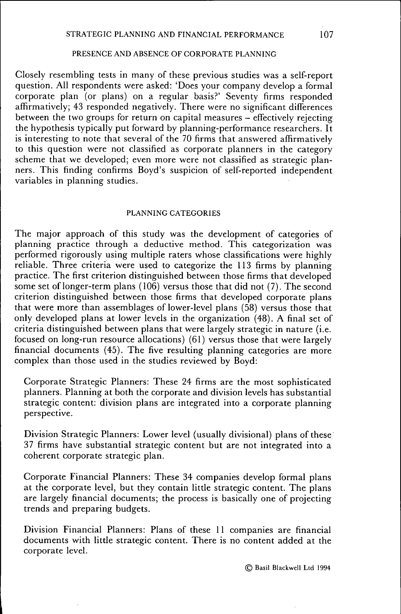#### PRESENCE AND ABSENCE OF CORPORATE PLANNING

Closely resembling tests in many of these previous studies was a self-report question. All respondents were asked: 'Does your company develop a formal corporate plan (or plans) on a regular basis?' Seventy firms responded affirmatively; 43 responded negatively. There were no significant differences between the two groups for return on capital measures  $-\overline{$  effectively rejecting the hypothesis typically put forward by planning-performance researchers. It is interesting to note that several of the 70 firms that answered affirmatively to this question were not classified as corporate planners in the category scheme that we developed; even more were not classified as strategic planners. This finding confirms Boyd's suspicion of self-reported independent variables in planning studies.

#### PLANNING CATEGORIES

The major approach of this study was the development of categories of planning practice through a deductive method. This categorization was performed rigorously using multiple raters whose classifications were highly reliable. Three criteria were used to categorize the 113 firms by planning practice. The first criterion distinguished between those firms that developed some set of longer-term plans (106) versus those that did not (7). The second criterion distinguished between those firms that developed corporate plans that were more than assemblages of lower-level plans (58) versus those that only developed plans at lower levels in the organization (48). A final set of criteria distinguished between plans that were largely strategic in nature (i.e. focused on long-run resource allocations) (61) versus those that were largely financial documents (45). The five resulting planning categories are more complex than those used in the studies reviewed by Boyd:

Corporate Strategic Planners: These 24 firms are the most sophisticated planners. Planning at both the corporate and division levels has substantial strategic content: division plans are integrated into a corporate planning perspective.

Division Strategic Planners: Lower level (usually divisional) plans of these 37 firms have substantial strategic content but are not integrated into a coherent corporate strategic plan.

Corporate Financial Planners: These 34 companies develop formal plans at the corporate level, but they contain little strategic content. The plans are largely financial documents; the process is basically one of projecting trends and preparing budgets.

Division Financial Planners: Plans of these 11 companies are financial documents with little strategic content. There is no content added at the corporate level.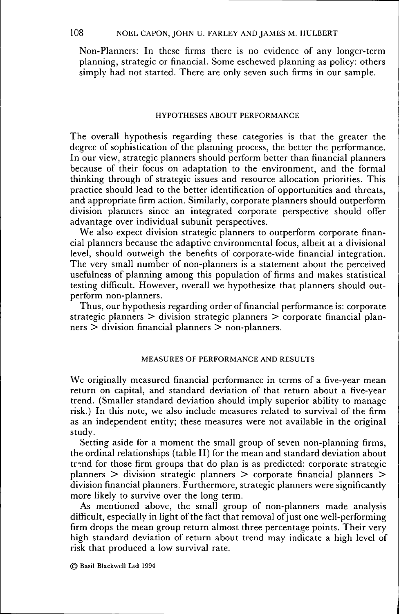Non-Planners: In these firms there is no evidence of any longer-term planning, strategic or financial. Some eschewed planning as policy: others simply had not started. There are only seven such firms in our sample.

#### HYPOTHESES ABOUT PERFORMANCE

The overall hypothesis regarding these categories is that the greater the degree of sophistication of the planning process, the better the performance. In our view, strategic planners should perform better than financial planners because of their focus on adaptation to the environment, and the formal thinking through of strategic issues and resource allocation priorities. This practice should lead to the better identification of opportunities and threats, and appropriate firm action. Similarly, corporate planners should outperform division planners since an integrated corporate perspective should offer advantage over individual subunit perspectives.

We also expect division strategic planners to outperform corporate financial planners because the adaptive environmental focus, albeit at a divisional level, should outweigh the benefits of corporate-wide financial integration. The very small number of non-planners is a statement about the perceived usefulness of planning among this population of firms and makes statistical testing difficult. However, overall we hypothesize that planners should outperform non-planners.

Thus, our hypothesis regarding order of financial performance is: corporate strategic planners > division strategic planners > corporate financial planners > division financial planners > non-planners.

# MEASURES OF PERFORMANCE AND RESULTS

We originally measured financial performance in terms of a five-year mean return on capital, and standard deviation of that return about a five-year trend. (Smaller standard deviation should imply superior ability to manage risk.) In this note, we also include measures related to survival of the firm as an independent entity; these measures were not available in the original study.

Setting aside for a moment the small group of seven non-planning firms, the ordinal relationships (table II) for the mean and standard deviation about trend for those firm groups that do plan is as predicted: corporate strategic planners > division strategic planners > corporate financial planners > division financial planners. Furthermore, strategic planners were significantly more likely to survive over the long term.

As mentioned above, the small group of non-planners made analysis difficult, especially in light of the fact that removal of just one well-performing firm drops the mean group return almost three percentage points. Their very high standard deviation of return about trend may indicate a high level of risk that produced a low survival rate.

© Basil Blackwell Ltd 1994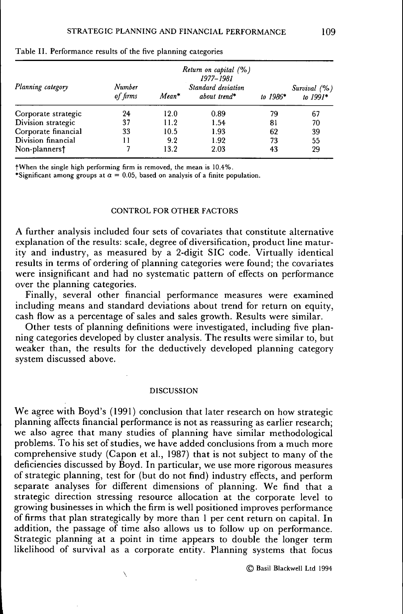|                     | Return on capital $(% )$<br>1977-1981 |         |                                    |            |                            |
|---------------------|---------------------------------------|---------|------------------------------------|------------|----------------------------|
| Planning category   | Number<br>of firms                    | $Mean*$ | Standard deviation<br>about trend* | to $1986*$ | Survival (%)<br>to $1991*$ |
| Corporate strategic | 24                                    | 12.0    | 0.89                               | 79         | 67                         |
| Division strategic  | 37                                    | 11.2    | 1.54                               | 81         | 70                         |
| Corporate financial | 33                                    | 10.5    | 1.93                               | 62         | 39                         |
| Division financial  | 11                                    | 9.2     | 1.92                               | 73         | 55                         |
| Non-planners†       |                                       | 13.2    | 2.03                               | 43         | 29                         |

Table II. Performance results of the five planning categories

fWhen the single high performing firm is removed, the mean is 10.4%.

\*Significant among groups at  $\alpha = 0.05$ , based on analysis of a finite population.

#### CONTROL FOR OTHER FACTORS

A further analysis included four sets of covariates that constitute alternative explanation of the results: scale, degree of diversification, product line maturity and industry, as measured by a 2-digit SIC code. Virtually identical results in terms of ordering of planning categories were found; the covariates were insignificant and had no systematic pattern of effects on performance over the planning categories.

Finally, several other financial performance measures were examined including means and standard deviations about trend for return on equity, cash flow as a percentage of sales and sales growth. Results were similar.

Other tests of planning definitions were investigated, including five planning categories developed by cluster analysis. The results were similar to, but weaker than, the results for the deductively developed planning category system discussed above.

#### DISCUSSION

We agree with Boyd's (1991) conclusion that later research on how strategic planning affects financial performance is not as reassuring as earlier research; we also agree that many studies of planning have similar methodological problems. To his set of studies, we have added conclusions from a much more comprehensive study (Capon et al., 1987) that is not subject to many of the deficiencies discussed by Boyd. In particular, we use more rigorous measures of strategic planning, test for (but do not find) industry effects, and perform separate analyses for different dimensions of planning. We find that a strategic direction stressing resource allocation at the corporate level to growing businesses in which the firm is well positioned improves performance of firms that plan strategically by more than 1 per cent return on capital. In addition, the passage of time also allows us to follow up on performance. Strategic planning at a point in time appears to double the longer term likelihood of survival as a corporate entity. Planning systems that focus

© Basil Blackwell Ltd 1994

Ń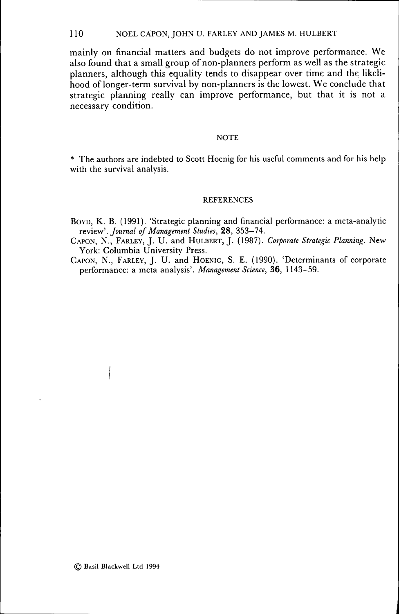110 NOEL CAPON, JOHN U. FARLEY AND JAMES M. HULBERT

mainly on financial matters and budgets do not improve performance. We also found that a small group of non-planners perform as well as the strategic planners, although this equality tends to disappear over time and the likelihood of longer-term survival by non-planners is the lowest. We conclude that strategic planning really can improve performance, but that it is not a necessary condition.

#### **NOTE**

\* The authors are indebted to Scott Hoenig for his useful comments and for his help with the survival analysis.

# **REFERENCES**

BOYD, K. B. (1991). 'Strategic planning and financial performance: a meta-analytic *review'. Joumal of Management Studies,* 28, 353-74.

CAPON, N. , FARLEY, J. U. and HULBERT, J. (1987). *Corporate Strategic Planning.* New York: Columbia University Press.

CAPON, N. , FARLEY, J. U. and HOENIG, S. E. (1990). 'Determinants of corporate performance: a meta analysis'. *Management Science,* 36, 1143-59.

 $\mathbf{I}$